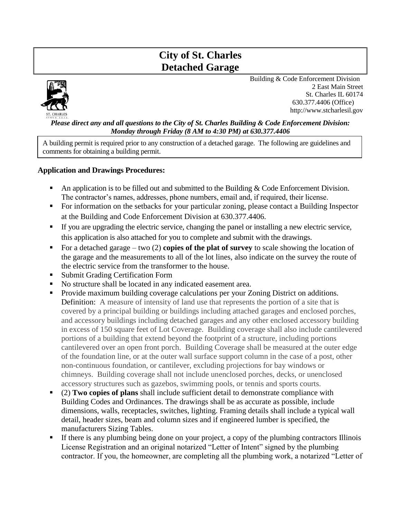# **City of St. Charles Detached Garage**



Building & Code Enforcement Division 2 East Main Street St. Charles IL 60174 630.377.4406 (Office) http://www.stcharlesil.gov

#### *Please direct any and all questions to the City of St. Charles Building & Code Enforcement Division: Monday through Friday (8 AM to 4:30 PM) at 630.377.4406*

A building permit is required prior to any construction of a detached garage. The following are guidelines and comments for obtaining a building permit.

## **Application and Drawings Procedures:**

- **•** An application is to be filled out and submitted to the Building  $\&$  Code Enforcement Division. The contractor's names, addresses, phone numbers, email and, if required, their license.
- For information on the setbacks for your particular zoning, please contact a Building Inspector at the Building and Code Enforcement Division at 630.377.4406.
- If you are upgrading the electric service, changing the panel or installing a new electric service, this application is also attached for you to complete and submit with the drawings.
- For a detached garage two (2) **copies of the plat of survey** to scale showing the location of the garage and the measurements to all of the lot lines, also indicate on the survey the route of the electric service from the transformer to the house.
- Submit Grading Certification Form
- No structure shall be located in any indicated easement area.
- **•** Provide maximum building coverage calculations per your Zoning District on additions. Definition: A measure of intensity of land use that represents the portion of a site that is covered by a principal building or buildings including attached garages and enclosed porches, and accessory buildings including detached garages and any other enclosed accessory building in excess of 150 square feet of Lot Coverage. Building coverage shall also include cantilevered portions of a building that extend beyond the footprint of a structure, including portions cantilevered over an open front porch. Building Coverage shall be measured at the outer edge of the foundation line, or at the outer wall surface support column in the case of a post, other non-continuous foundation, or cantilever, excluding projections for bay windows or chimneys. Building coverage shall not include unenclosed porches, decks, or unenclosed accessory structures such as gazebos, swimming pools, or tennis and sports courts.
- (2) **Two copies of plans** shall include sufficient detail to demonstrate compliance with Building Codes and Ordinances. The drawings shall be as accurate as possible, include dimensions, walls, receptacles, switches, lighting. Framing details shall include a typical wall detail, header sizes, beam and column sizes and if engineered lumber is specified, the manufacturers Sizing Tables.
- **EXTERCT** If there is any plumbing being done on your project, a copy of the plumbing contractors Illinois License Registration and an original notarized "Letter of Intent" signed by the plumbing contractor. If you, the homeowner, are completing all the plumbing work, a notarized "Letter of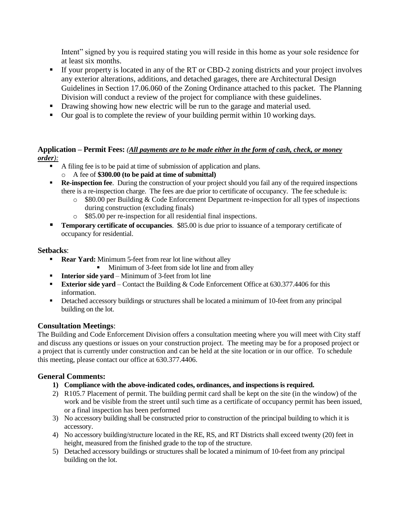Intent" signed by you is required stating you will reside in this home as your sole residence for at least six months.

- If your property is located in any of the RT or CBD-2 zoning districts and your project involves any exterior alterations, additions, and detached garages, there are Architectural Design Guidelines in Section 17.06.060 of the Zoning Ordinance attached to this packet. The Planning Division will conduct a review of the project for compliance with these guidelines.
- **•** Drawing showing how new electric will be run to the garage and material used.
- Our goal is to complete the review of your building permit within 10 working days.

## **Application – Permit Fees:** *(All payments are to be made either in the form of cash, check, or money order):*

- A filing fee is to be paid at time of submission of application and plans.
	- o A fee of **\$300.00 (to be paid at time of submittal)**
- **Re-inspection fee**. During the construction of your project should you fail any of the required inspections there is a re-inspection charge. The fees are due prior to certificate of occupancy. The fee schedule is:
	- $\circ$  \$80.00 per Building & Code Enforcement Department re-inspection for all types of inspections during construction (excluding finals)
	- o \$85.00 per re-inspection for all residential final inspections.
- **Temporary certificate of occupancies**. \$85.00 is due prior to issuance of a temporary certificate of occupancy for residential.

## **Setbacks**:

- **Rear Yard:** Minimum 5-feet from rear lot line without alley
	- Minimum of 3-feet from side lot line and from alley
- **Interior side yard** Minimum of 3-feet from lot line
- **Exterior side yard** Contact the Building & Code Enforcement Office at 630.377.4406 for this information.
- **•** Detached accessory buildings or structures shall be located a minimum of 10-feet from any principal building on the lot.

## **Consultation Meetings**:

The Building and Code Enforcement Division offers a consultation meeting where you will meet with City staff and discuss any questions or issues on your construction project. The meeting may be for a proposed project or a project that is currently under construction and can be held at the site location or in our office. To schedule this meeting, please contact our office at 630.377.4406.

## **General Comments:**

- **1) Compliance with the above-indicated codes, ordinances, and inspections is required.**
- 2) R105.7 Placement of permit. The building permit card shall be kept on the site (in the window) of the work and be visible from the street until such time as a certificate of occupancy permit has been issued, or a final inspection has been performed
- 3) No accessory building shall be constructed prior to construction of the principal building to which it is accessory.
- 4) No accessory building/structure located in the RE, RS, and RT Districts shall exceed twenty (20) feet in height, measured from the finished grade to the top of the structure.
- 5) Detached accessory buildings or structures shall be located a minimum of 10-feet from any principal building on the lot.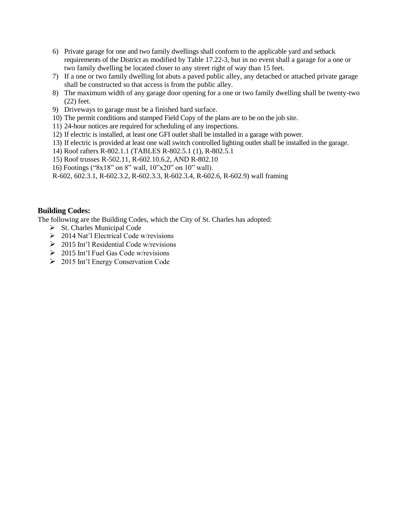- 6) Private garage for one and two family dwellings shall conform to the applicable yard and setback requirements of the District as modified by Table 17.22-3, but in no event shall a garage for a one or two family dwelling be located closer to any street right of way than 15 feet.
- 7) If a one or two family dwelling lot abuts a paved public alley, any detached or attached private garage shall be constructed so that access is from the public alley.
- 8) The maximum width of any garage door opening for a one or two family dwelling shall be twenty-two (22) feet.
- 9) Driveways to garage must be a finished hard surface.
- 10) The permit conditions and stamped Field Copy of the plans are to be on the job site.
- 11) 24-hour notices are required for scheduling of any inspections.
- 12) If electric is installed, at least one GFI outlet shall be installed in a garage with power.
- 13) If electric is provided at least one wall switch controlled lighting outlet shall be installed in the garage.
- 14) Roof rafters R-802.1.1 (TABLES R-802.5.1 (1), R-802.5.1
- 15) Roof trusses R-502.11, R-602.10.6.2, AND R-802.10
- 16) Footings ("8x18" on 8" wall, 10"x20" on 10" wall).
- R-602, 602.3.1, R-602.3.2, R-602.3.3, R-602.3.4, R-602.6, R-602.9) wall framing

#### **Building Codes:**

The following are the Building Codes, which the City of St. Charles has adopted:

- ➢ St. Charles Municipal Code
- ➢ 2014 Nat'l Electrical Code w/revisions
- $\geq 2015$  Int'l Residential Code w/revisions
- ➢ 2015 Int'l Fuel Gas Code w/revisions
- ➢ 2015 Int'l Energy Conservation Code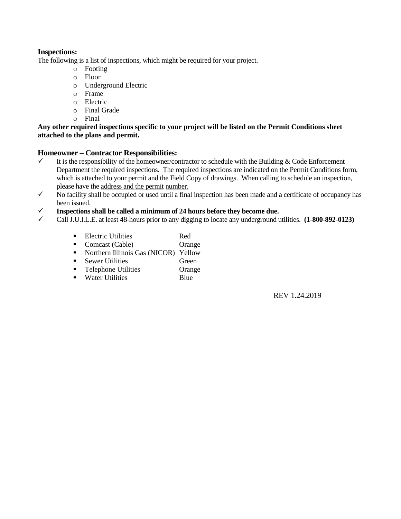## **Inspections:**

The following is a list of inspections, which might be required for your project.

- o Footing
- o Floor
- o Underground Electric
- o Frame
- o Electric
- o Final Grade
- o Final

#### **Any other required inspections specific to your project will be listed on the Permit Conditions sheet attached to the plans and permit.**

#### **Homeowner – Contractor Responsibilities:**

- $\checkmark$  It is the responsibility of the homeowner/contractor to schedule with the Building & Code Enforcement Department the required inspections. The required inspections are indicated on the Permit Conditions form, which is attached to your permit and the Field Copy of drawings. When calling to schedule an inspection, please have the address and the permit number.
- $\checkmark$  No facility shall be occupied or used until a final inspection has been made and a certificate of occupancy has been issued.
- ✓ **Inspections shall be called a minimum of 24 hours before they become due.**
- ✓ Call J.U.I.L.E. at least 48-hours prior to any digging to locate any underground utilities. **(1-800-892-0123)**
	- Electric Utilities Red
	- Comcast (Cable) Orange
	- Northern Illinois Gas (NICOR) Yellow
	- Sewer Utilities Green
	- Telephone Utilities Orange
	- Water Utilities Blue

REV 1.24.2019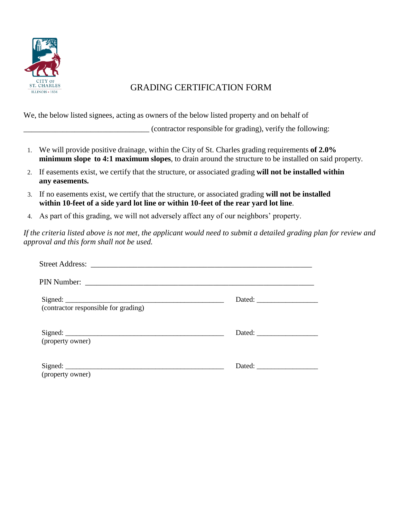

## GRADING CERTIFICATION FORM

We, the below listed signees, acting as owners of the below listed property and on behalf of

\_\_\_\_\_\_\_\_\_\_\_\_\_\_\_\_\_\_\_\_\_\_\_\_\_\_\_\_\_\_\_\_ (contractor responsible for grading), verify the following:

- 1. We will provide positive drainage, within the City of St. Charles grading requirements **of 2.0% minimum slope to 4:1 maximum slopes**, to drain around the structure to be installed on said property.
- 2. If easements exist, we certify that the structure, or associated grading **will not be installed within any easements.**
- 3. If no easements exist, we certify that the structure, or associated grading **will not be installed within 10-feet of a side yard lot line or within 10-feet of the rear yard lot line**.
- 4. As part of this grading, we will not adversely affect any of our neighbors' property.

*If the criteria listed above is not met, the applicant would need to submit a detailed grading plan for review and approval and this form shall not be used.*

| (contractor responsible for grading) |  |
|--------------------------------------|--|
|                                      |  |
| (property owner)                     |  |